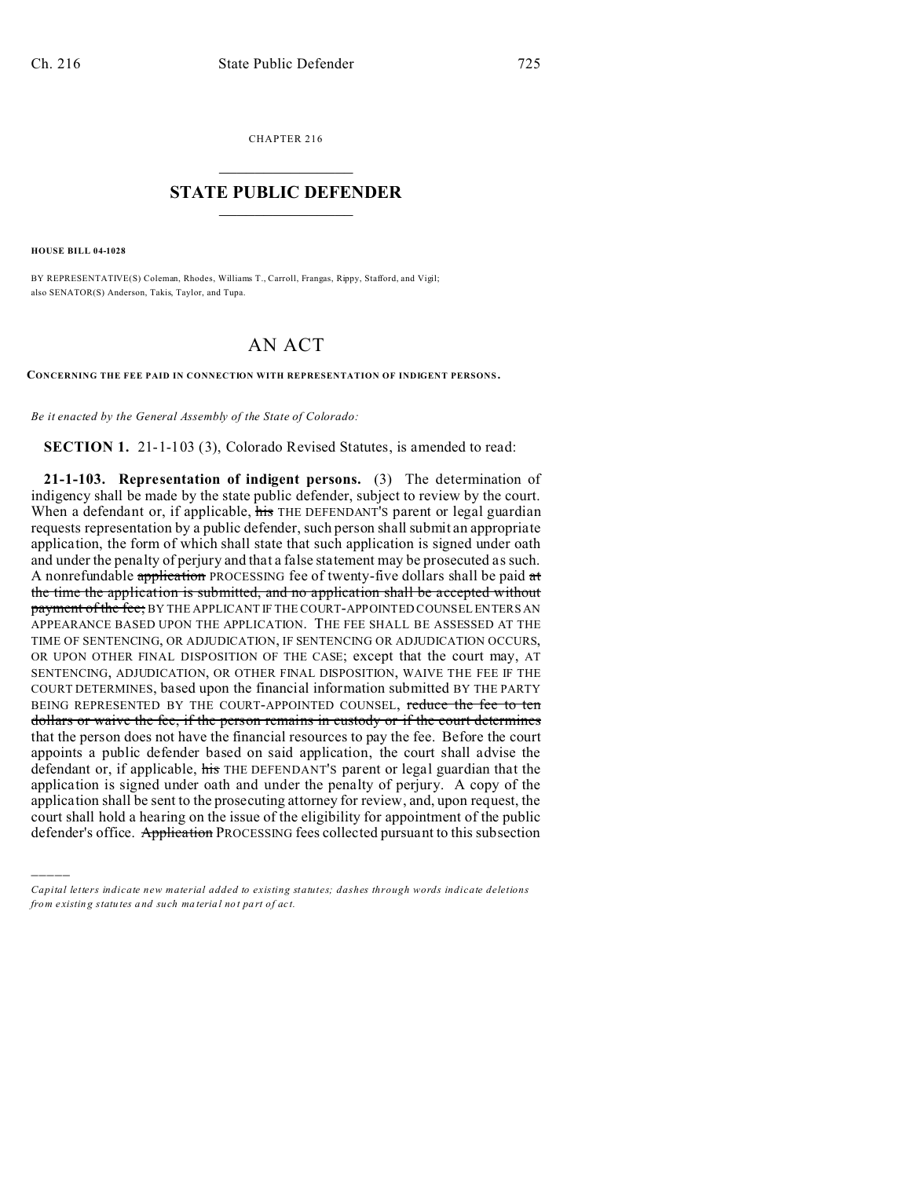CHAPTER 216  $\overline{\phantom{a}}$  , where  $\overline{\phantom{a}}$ 

## **STATE PUBLIC DEFENDER**  $\_$   $\_$   $\_$   $\_$   $\_$   $\_$   $\_$   $\_$

**HOUSE BILL 04-1028**

)))))

BY REPRESENTATIVE(S) Coleman, Rhodes, Williams T., Carroll, Frangas, Rippy, Stafford, and Vigil; also SENATOR(S) Anderson, Takis, Taylor, and Tupa.

## AN ACT

**CONCERNING THE FEE PAID IN CONNECTION WITH REPRESENTATION OF INDIGENT PERSONS .**

*Be it enacted by the General Assembly of the State of Colorado:*

**SECTION 1.** 21-1-103 (3), Colorado Revised Statutes, is amended to read:

**21-1-103. Representation of indigent persons.** (3) The determination of indigency shall be made by the state public defender, subject to review by the court. When a defendant or, if applicable, his THE DEFENDANT'S parent or legal guardian requests representation by a public defender, such person shall submit an appropriate application, the form of which shall state that such application is signed under oath and under the penalty of perjury and that a false statement may be prosecuted as such. A nonrefundable application PROCESSING fee of twenty-five dollars shall be paid  $\alpha t$ the time the application is submitted, and no application shall be accepted without payment of the fee; BY THE APPLICANT IF THE COURT-APPOINTED COUNSEL ENTERS AN APPEARANCE BASED UPON THE APPLICATION. THE FEE SHALL BE ASSESSED AT THE TIME OF SENTENCING, OR ADJUDICATION, IF SENTENCING OR ADJUDICATION OCCURS, OR UPON OTHER FINAL DISPOSITION OF THE CASE; except that the court may, AT SENTENCING, ADJUDICATION, OR OTHER FINAL DISPOSITION, WAIVE THE FEE IF THE COURT DETERMINES, based upon the financial information submitted BY THE PARTY BEING REPRESENTED BY THE COURT-APPOINTED COUNSEL, reduce the fee to ten dollars or waive the fee, if the person remains in custody or if the court determines that the person does not have the financial resources to pay the fee. Before the court appoints a public defender based on said application, the court shall advise the defendant or, if applicable, his THE DEFENDANT'S parent or legal guardian that the application is signed under oath and under the penalty of perjury. A copy of the application shall be sent to the prosecuting attorney for review, and, upon request, the court shall hold a hearing on the issue of the eligibility for appointment of the public defender's office. Application PROCESSING fees collected pursuant to this subsection

*Capital letters indicate new material added to existing statutes; dashes through words indicate deletions from e xistin g statu tes a nd such ma teria l no t pa rt of ac t.*